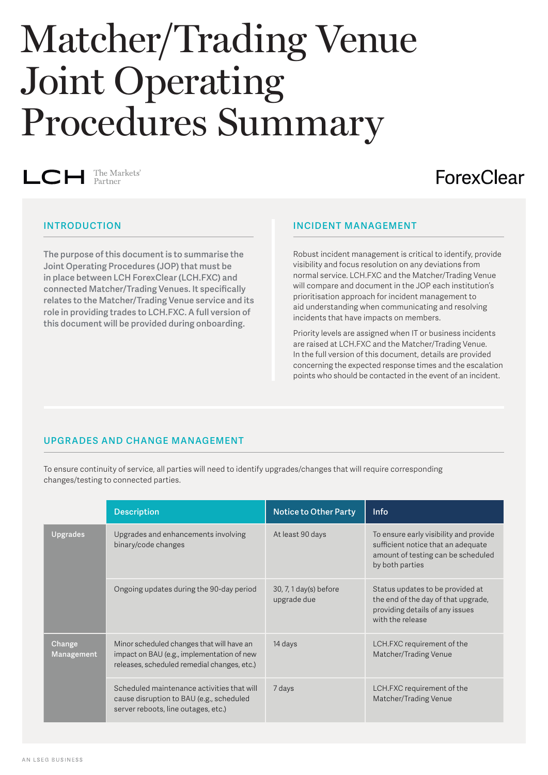# Matcher/Trading Venue Joint Operating Procedures Summary

The Markets' LCH

## ForexClear

**The purpose of this document is to summarise the Joint Operating Procedures (JOP) that must be in place between LCH ForexClear (LCH.FXC) and connected Matcher/Trading Venues. It specifically relates to the Matcher/Trading Venue service and its role in providing trades to LCH.FXC. A full version of this document will be provided during onboarding.**

#### **INTRODUCTION INCIDENT MANAGEMENT**

Robust incident management is critical to identify, provide visibility and focus resolution on any deviations from normal service. LCH.FXC and the Matcher/Trading Venue will compare and document in the JOP each institution's prioritisation approach for incident management to aid understanding when communicating and resolving incidents that have impacts on members.

Priority levels are assigned when IT or business incidents are raised at LCH.FXC and the Matcher/Trading Venue. In the full version of this document, details are provided concerning the expected response times and the escalation points who should be contacted in the event of an incident.

### **UPGRADES AND CHANGE MANAGEMENT**

To ensure continuity of service, all parties will need to identify upgrades/changes that will require corresponding changes/testing to connected parties.

|                      | <b>Description</b>                                                                                                                     | <b>Notice to Other Party</b>                    | Info                                                                                                                                  |
|----------------------|----------------------------------------------------------------------------------------------------------------------------------------|-------------------------------------------------|---------------------------------------------------------------------------------------------------------------------------------------|
| <b>Upgrades</b>      | Upgrades and enhancements involving<br>binary/code changes                                                                             | At least 90 days                                | To ensure early visibility and provide<br>sufficient notice that an adequate<br>amount of testing can be scheduled<br>by both parties |
|                      | Ongoing updates during the 90-day period                                                                                               | $30, 7, 1 \text{ day(s)}$ before<br>upgrade due | Status updates to be provided at<br>the end of the day of that upgrade,<br>providing details of any issues<br>with the release        |
| Change<br>Management | Minor scheduled changes that will have an<br>impact on BAU (e.g., implementation of new<br>releases, scheduled remedial changes, etc.) | 14 days                                         | LCH.FXC requirement of the<br>Matcher/Trading Venue                                                                                   |
|                      | Scheduled maintenance activities that will<br>cause disruption to BAU (e.g., scheduled<br>server reboots, line outages, etc.)          | 7 days                                          | LCH.FXC requirement of the<br>Matcher/Trading Venue                                                                                   |